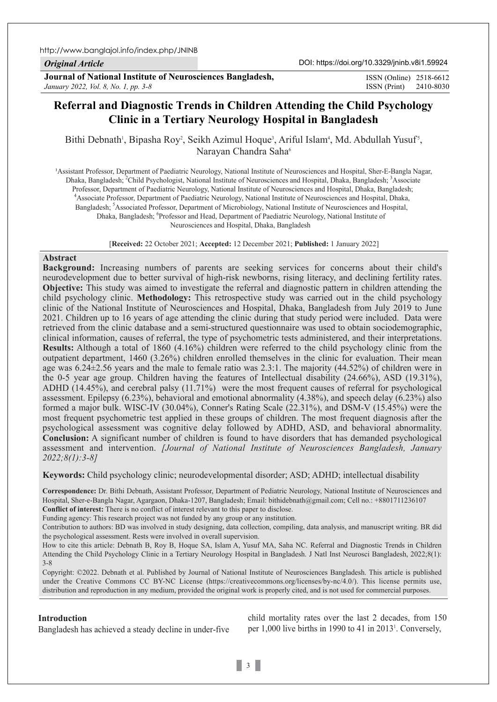http://www.banglajol.info/index.php/JNINB

*Original Article*

**Journal of National Institute of Neurosciences Bangladesh,** *January 2022, Vol. 8, No. 1, pp. 3-8*

ISSN (Print) 2410-8030 ISSN (Online) 2518-6612

# **Referral and Diagnostic Trends in Children Attending the Child Psychology Clinic in a Tertiary Neurology Hospital in Bangladesh**

Bithi Debnath<sup>1</sup>, Bipasha Roy<sup>2</sup>, Seikh Azimul Hoque<sup>3</sup>, Ariful Islam<sup>4</sup>, Md. Abdullah Yusuf<sup>5</sup>, Narayan Chandra Saha<sup>6</sup>

1Assistant Professor, Department of Paediatric Neurology, National Institute of Neurosciences and Hospital, Sher-E-Bangla Nagar, Dhaka, Bangladesh; <sup>2</sup>Child Psychologist, National Institute of Neurosciences and Hospital, Dhaka, Bangladesh; <sup>3</sup>Associate Professor, Department of Paediatric Neurology, National Institute of Neurosciences and Hospital, Dhaka, Bangladesh; 4 Associate Professor, Department of Paediatric Neurology, National Institute of Neurosciences and Hospital, Dhaka, Bangladesh; <sup>5</sup>Associated Professor, Department of Microbiology, National Institute of Neurosciences and Hospital, Dhaka, Bangladesh; <sup>6</sup>Professor and Head, Department of Paediatric Neurology, National Institute of Neurosciences and Hospital, Dhaka, Bangladesh

[**Received:** 22 October 2021; **Accepted:** 12 December 2021; **Published:** 1 January 2022]

### **Abstract**

**Background:** Increasing numbers of parents are seeking services for concerns about their child's neurodevelopment due to better survival of high-risk newborns, rising literacy, and declining fertility rates. **Objective:** This study was aimed to investigate the referral and diagnostic pattern in children attending the child psychology clinic. **Methodology:** This retrospective study was carried out in the child psychology clinic of the National Institute of Neurosciences and Hospital, Dhaka, Bangladesh from July 2019 to June 2021. Children up to 16 years of age attending the clinic during that study period were included. Data were retrieved from the clinic database and a semi-structured questionnaire was used to obtain sociodemographic, clinical information, causes of referral, the type of psychometric tests administered, and their interpretations. **Results:** Although a total of 1860 (4.16%) children were referred to the child psychology clinic from the outpatient department, 1460 (3.26%) children enrolled themselves in the clinic for evaluation. Their mean age was 6.24±2.56 years and the male to female ratio was 2.3:1. The majority (44.52%) of children were in the 0-5 year age group. Children having the features of Intellectual disability (24.66%), ASD (19.31%), ADHD (14.45%), and cerebral palsy (11.71%) were the most frequent causes of referral for psychological assessment. Epilepsy (6.23%), behavioral and emotional abnormality (4.38%), and speech delay (6.23%) also formed a major bulk. WISC-IV (30.04%), Conner's Rating Scale (22.31%), and DSM-V (15.45%) were the most frequent psychometric test applied in these groups of children. The most frequent diagnosis after the psychological assessment was cognitive delay followed by ADHD, ASD, and behavioral abnormality. **Conclusion:** A significant number of children is found to have disorders that has demanded psychological assessment and intervention. *[Journal of National Institute of Neurosciences Bangladesh, January 2022;8(1):3-8]*

**Keywords:** Child psychology clinic; neurodevelopmental disorder; ASD; ADHD; intellectual disability

**Correspondence:** Dr. Bithi Debnath, Assistant Professor, Department of Pediatric Neurology, National Institute of Neurosciences and Hospital, Sher-e-Bangla Nagar, Agargaon, Dhaka-1207, Bangladesh; Email: bithidebnath@gmail.com; Cell no.: +8801711236107 **Conflict of interest:** There is no conflict of interest relevant to this paper to disclose.

Funding agency: This research project was not funded by any group or any institution.

Contribution to authors: BD was involved in study designing, data collection, compiling, data analysis, and manuscript writing. BR did the psychological assessment. Rests were involved in overall supervision.

How to cite this article: Debnath B, Roy B, Hoque SA, Islam A, Yusuf MA, Saha NC. Referral and Diagnostic Trends in Children Attending the Child Psychology Clinic in a Tertiary Neurology Hospital in Bangladesh. J Natl Inst Neurosci Bangladesh, 2022;8(1): 3-8

Copyright: ©2022. Debnath et al. Published by Journal of National Institute of Neurosciences Bangladesh. This article is published under the Creative Commons CC BY-NC License (https://creativecommons.org/licenses/by-nc/4.0/). This license permits use, distribution and reproduction in any medium, provided the original work is properly cited, and is not used for commercial purposes.

# **Introduction**

Bangladesh has achieved a steady decline in under‐five

child mortality rates over the last 2 decades, from 150 per 1,000 live births in 1990 to 41 in 2013<sup>1</sup>. Conversely,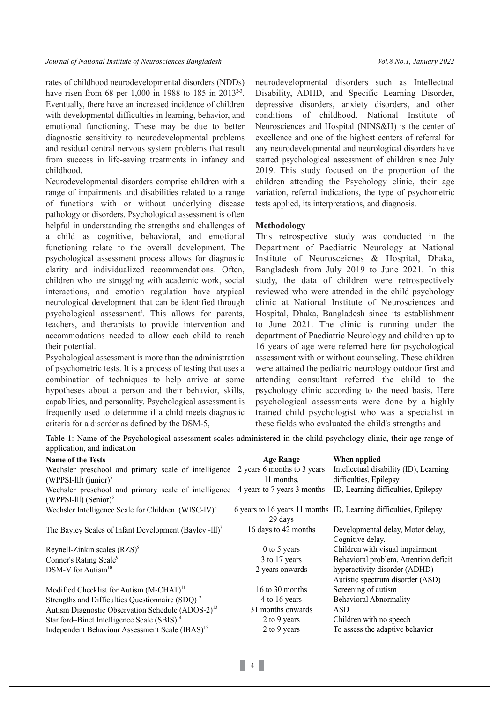rates of childhood neurodevelopmental disorders (NDDs) have risen from 68 per 1,000 in 1988 to 185 in 2013<sup>2-3</sup>. Eventually, there have an increased incidence of children with developmental difficulties in learning, behavior, and emotional functioning. These may be due to better diagnostic sensitivity to neurodevelopmental problems and residual central nervous system problems that result from success in life-saving treatments in infancy and childhood.

Neurodevelopmental disorders comprise children with a range of impairments and disabilities related to a range of functions with or without underlying disease pathology or disorders. Psychological assessment is often helpful in understanding the strengths and challenges of a child as cognitive, behavioral, and emotional functioning relate to the overall development. The psychological assessment process allows for diagnostic clarity and individualized recommendations. Often, children who are struggling with academic work, social interactions, and emotion regulation have atypical neurological development that can be identified through psychological assessment<sup>4</sup>. This allows for parents, teachers, and therapists to provide intervention and accommodations needed to allow each child to reach their potential.

Psychological assessment is more than the administration of psychometric tests. It is a process of testing that uses a combination of techniques to help arrive at some hypotheses about a person and their behavior, skills, capabilities, and personality. Psychological assessment is frequently used to determine if a child meets diagnostic criteria for a disorder as defined by the DSM-5,

neurodevelopmental disorders such as Intellectual Disability, ADHD, and Specific Learning Disorder, depressive disorders, anxiety disorders, and other conditions of childhood. National Institute of Neurosciences and Hospital (NINS&H) is the center of excellence and one of the highest centers of referral for any neurodevelopmental and neurological disorders have started psychological assessment of children since July 2019. This study focused on the proportion of the children attending the Psychology clinic, their age variation, referral indications, the type of psychometric tests applied, its interpretations, and diagnosis.

### **Methodology**

This retrospective study was conducted in the Department of Paediatric Neurology at National Institute of Neurosceicnes & Hospital, Dhaka, Bangladesh from July 2019 to June 2021. In this study, the data of children were retrospectively reviewed who were attended in the child psychology clinic at National Institute of Neurosciences and Hospital, Dhaka, Bangladesh since its establishment to June 2021. The clinic is running under the department of Paediatric Neurology and children up to 16 years of age were referred here for psychological assessment with or without counseling. These children were attained the pediatric neurology outdoor first and attending consultant referred the child to the psychology clinic according to the need basis. Here psychological assessments were done by a highly trained child psychologist who was a specialist in these fields who evaluated the child's strengths and

Table 1: Name of the Psychological assessment scales administered in the child psychology clinic, their age range of application, and indication

| $\mathbf{r}$                                                                     |                             |                                                                   |
|----------------------------------------------------------------------------------|-----------------------------|-------------------------------------------------------------------|
| <b>Name of the Tests</b>                                                         | <b>Age Range</b>            | When applied                                                      |
| Wechsler preschool and primary scale of intelligence 2 years 6 months to 3 years |                             | Intellectual disability (ID), Learning                            |
| (WPPSI-III) (junior) <sup>5</sup>                                                | 11 months.                  | difficulties, Epilepsy                                            |
| Wechsler preschool and primary scale of intelligence<br>(WPPSI-III) $(Senior)^5$ | 4 years to 7 years 3 months | ID, Learning difficulties, Epilepsy                               |
| Wechsler Intelligence Scale for Children $(WISC-IV)^6$                           | 29 days                     | 6 years to 16 years 11 months ID, Learning difficulties, Epilepsy |
| The Bayley Scales of Infant Development (Bayley - $III$ ) <sup>7</sup>           | 16 days to 42 months        | Developmental delay, Motor delay,<br>Cognitive delay.             |
| Reynell-Zinkin scales $(RZS)^8$                                                  | $0$ to 5 years              | Children with visual impairment                                   |
| Conner's Rating Scale <sup>9</sup>                                               | 3 to 17 years               | Behavioral problem, Attention deficit                             |
| DSM-V for Autism <sup>10</sup>                                                   | 2 years onwards             | hyperactivity disorder (ADHD)                                     |
|                                                                                  |                             | Autistic spectrum disorder (ASD)                                  |
| Modified Checklist for Autism $(M-CHAT)^{11}$                                    | 16 to 30 months             | Screening of autism                                               |
| Strengths and Difficulties Questionnaire (SDQ) <sup>12</sup>                     | 4 to 16 years               | <b>Behavioral Abnormality</b>                                     |
| Autism Diagnostic Observation Schedule (ADOS-2) <sup>13</sup>                    | 31 months onwards           | ASD                                                               |
| Stanford–Binet Intelligence Scale (SBIS) <sup>14</sup>                           | 2 to 9 years                | Children with no speech                                           |
| Independent Behaviour Assessment Scale (IBAS) <sup>15</sup>                      | 2 to 9 years                | To assess the adaptive behavior                                   |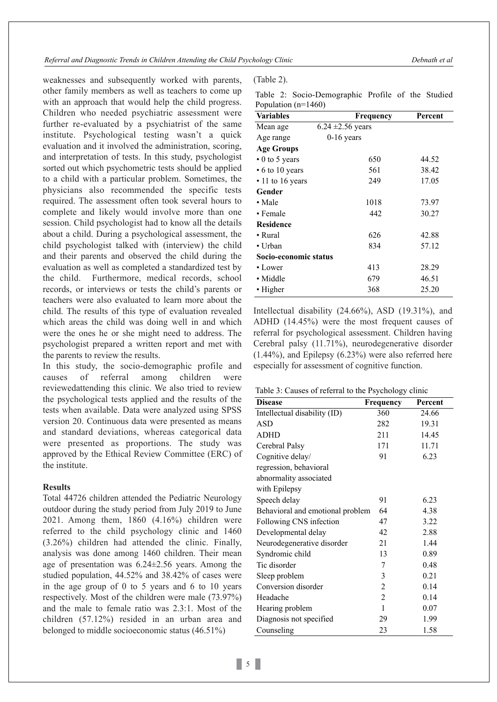*Referral and Diagnostic Trends in Children Attending the Child Psychology Clinic Debnath et al*

weaknesses and subsequently worked with parents, other family members as well as teachers to come up with an approach that would help the child progress. Children who needed psychiatric assessment were further re-evaluated by a psychiatrist of the same institute. Psychological testing wasn't a quick evaluation and it involved the administration, scoring, and interpretation of tests. In this study, psychologist sorted out which psychometric tests should be applied to a child with a particular problem. Sometimes, the physicians also recommended the specific tests required. The assessment often took several hours to complete and likely would involve more than one session. Child psychologist had to know all the details about a child. During a psychological assessment, the child psychologist talked with (interview) the child and their parents and observed the child during the evaluation as well as completed a standardized test by the child. Furthermore, medical records, school records, or interviews or tests the child's parents or teachers were also evaluated to learn more about the child. The results of this type of evaluation revealed which areas the child was doing well in and which were the ones he or she might need to address. The psychologist prepared a written report and met with the parents to review the results.

In this study, the socio-demographic profile and causes of referral among children were reviewedattending this clinic. We also tried to review the psychological tests applied and the results of the tests when available. Data were analyzed using SPSS version 20. Continuous data were presented as means and standard deviations, whereas categorical data were presented as proportions. The study was approved by the Ethical Review Committee (ERC) of the institute.

# **Results**

Total 44726 children attended the Pediatric Neurology outdoor during the study period from July 2019 to June 2021. Among them, 1860 (4.16%) children were referred to the child psychology clinic and 1460 (3.26%) children had attended the clinic. Finally, analysis was done among 1460 children. Their mean age of presentation was 6.24±2.56 years. Among the studied population, 44.52% and 38.42% of cases were in the age group of 0 to 5 years and 6 to 10 years respectively. Most of the children were male (73.97%) and the male to female ratio was 2.3:1. Most of the children (57.12%) resided in an urban area and belonged to middle socioeconomic status (46.51%)

| (Table 2). |  |
|------------|--|
|------------|--|

|  | Table 2: Socio-Demographic Profile of the Studied |  |  |
|--|---------------------------------------------------|--|--|
|  | Population $(n=1460)$                             |  |  |

| <b>Variables</b>       | Frequency             | Percent |
|------------------------|-----------------------|---------|
| Mean age               | $6.24 \pm 2.56$ years |         |
| Age range              | $0-16$ years          |         |
| <b>Age Groups</b>      |                       |         |
| $\cdot$ 0 to 5 years   | 650                   | 44.52   |
| $\cdot$ 6 to 10 years  | 561                   | 38.42   |
| $\cdot$ 11 to 16 years | 249                   | 17.05   |
| Gender                 |                       |         |
| $\bullet$ Male         | 1018                  | 73.97   |
| • Female               | 442                   | 30.27   |
| <b>Residence</b>       |                       |         |
| • Rural                | 626                   | 42.88   |
| • Urban                | 834                   | 57.12   |
| Socio-economic status  |                       |         |
| • Lower                | 413                   | 28.29   |
| • Middle               | 679                   | 46.51   |
| • Higher               | 368                   | 25.20   |

Intellectual disability (24.66%), ASD (19.31%), and ADHD (14.45%) were the most frequent causes of referral for psychological assessment. Children having Cerebral palsy (11.71%), neurodegenerative disorder (1.44%), and Epilepsy (6.23%) were also referred here especially for assessment of cognitive function.

|  | Table 3: Causes of referral to the Psychology clinic |  |  |
|--|------------------------------------------------------|--|--|
|  |                                                      |  |  |

| <b>Disease</b>                   | Frequency      | Percent |
|----------------------------------|----------------|---------|
| Intellectual disability (ID)     | 360            | 24.66   |
| ASD                              | 282            | 19.31   |
| ADHD                             | 211            | 14.45   |
| Cerebral Palsy                   | 171            | 11.71   |
| Cognitive delay/                 | 91             | 6.23    |
| regression, behavioral           |                |         |
| abnormality associated           |                |         |
| with Epilepsy                    |                |         |
| Speech delay                     | 91             | 6.23    |
| Behavioral and emotional problem | 64             | 4.38    |
| Following CNS infection          | 47             | 3.22    |
| Developmental delay              | 42             | 2.88    |
| Neurodegenerative disorder       | 21             | 1.44    |
| Syndromic child                  | 13             | 0.89    |
| Tic disorder                     | 7              | 0.48    |
| Sleep problem                    | 3              | 0.21    |
| Conversion disorder              | 2              | 0.14    |
| Headache                         | $\overline{2}$ | 0.14    |
| Hearing problem                  | 1              | 0.07    |
| Diagnosis not specified          | 29             | 1.99    |
| Counseling                       | 23             | 1.58    |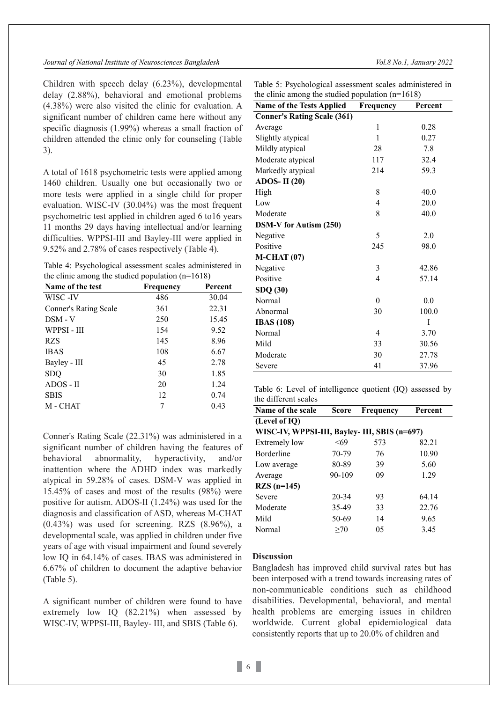Children with speech delay (6.23%), developmental delay (2.88%), behavioral and emotional problems (4.38%) were also visited the clinic for evaluation. A significant number of children came here without any specific diagnosis (1.99%) whereas a small fraction of children attended the clinic only for counseling (Table 3).

A total of 1618 psychometric tests were applied among 1460 children. Usually one but occasionally two or more tests were applied in a single child for proper evaluation. WISC-IV (30.04%) was the most frequent psychometric test applied in children aged 6 to16 years 11 months 29 days having intellectual and/or learning difficulties. WPPSI-III and Bayley-III were applied in 9.52% and 2.78% of cases respectively (Table 4).

Table 4: Psychological assessment scales administered in the clinic among the studied population (n=1618)

|                       | л.        |         |
|-----------------------|-----------|---------|
| Name of the test      | Frequency | Percent |
| WISC -IV              | 486       | 30.04   |
| Conner's Rating Scale | 361       | 22.31   |
| $DSM - V$             | 250       | 15.45   |
| WPPSI-III             | 154       | 9.52    |
| <b>RZS</b>            | 145       | 8.96    |
| <b>IBAS</b>           | 108       | 6.67    |
| Bayley - III          | 45        | 2.78    |
| SDQ                   | 30        | 1.85    |
| ADOS - II             | 20        | 1.24    |
| <b>SBIS</b>           | 12        | 0.74    |
| M - CHAT              |           | 0.43    |

Conner's Rating Scale (22.31%) was administered in a significant number of children having the features of behavioral abnormality, hyperactivity, and/or inattention where the ADHD index was markedly atypical in 59.28% of cases. DSM-V was applied in 15.45% of cases and most of the results (98%) were positive for autism. ADOS-II (1.24%) was used for the diagnosis and classification of ASD, whereas M-CHAT  $(0.43\%)$  was used for screening. RZS  $(8.96\%)$ , a developmental scale, was applied in children under five years of age with visual impairment and found severely low IQ in 64.14% of cases. IBAS was administered in 6.67% of children to document the adaptive behavior (Table 5).

A significant number of children were found to have extremely low IQ (82.21%) when assessed by WISC-IV, WPPSI-III, Bayley- III, and SBIS (Table 6).

Table 5: Psychological assessment scales administered in the clinic among the studied population (n=1618)

| <b>Name of the Tests Applied</b>   | Frequency        | Percent |  |  |  |
|------------------------------------|------------------|---------|--|--|--|
| <b>Conner's Rating Scale (361)</b> |                  |         |  |  |  |
| Average                            | 1                | 0.28    |  |  |  |
| Slightly atypical                  | $\mathbf{1}$     | 0.27    |  |  |  |
| Mildly atypical                    | 28               | 7.8     |  |  |  |
| Moderate atypical                  | 117              | 32.4    |  |  |  |
| Markedly atypical                  | 214              | 59.3    |  |  |  |
| ADOS-II $(20)$                     |                  |         |  |  |  |
| High                               | 8                | 40.0    |  |  |  |
| Low                                | $\overline{4}$   | 20.0    |  |  |  |
| Moderate                           | 8                | 40.0    |  |  |  |
| <b>DSM-V</b> for Autism (250)      |                  |         |  |  |  |
| Negative                           | 5                | 2.0     |  |  |  |
| Positive                           | 245              | 98.0    |  |  |  |
| $M$ -CHAT $(07)$                   |                  |         |  |  |  |
| Negative                           | 3                | 42.86   |  |  |  |
| Positive                           | $\overline{4}$   | 57.14   |  |  |  |
| SDQ (30)                           |                  |         |  |  |  |
| Normal                             | $\boldsymbol{0}$ | 0.0     |  |  |  |
| Abnormal                           | 30               | 100.0   |  |  |  |
| <b>IBAS</b> (108)                  |                  | Ī       |  |  |  |
| Normal                             | 4                | 3.70    |  |  |  |
| Mild                               | 33               | 30.56   |  |  |  |
| Moderate                           | 30               | 27.78   |  |  |  |
| Severe                             | 41               | 37.96   |  |  |  |

Table 6: Level of intelligence quotient (IQ) assessed by the different scales

| Name of the scale | Score                                         | Frequency | Percent |  |  |  |
|-------------------|-----------------------------------------------|-----------|---------|--|--|--|
| (Level of IQ)     |                                               |           |         |  |  |  |
|                   | WISC-IV, WPPSI-III, Bayley- III, SBIS (n=697) |           |         |  |  |  |
| Extremely low     | < 69                                          | 573       | 82.21   |  |  |  |
| <b>Borderline</b> | 70-79                                         | 76        | 10.90   |  |  |  |
| Low average       | 80-89                                         | 39        | 5.60    |  |  |  |
| Average           | 90-109                                        | 09        | 1.29    |  |  |  |
| $RZS$ (n=145)     |                                               |           |         |  |  |  |
| Severe            | $20 - 34$                                     | 93        | 64.14   |  |  |  |
| Moderate          | 35-49                                         | 33        | 22.76   |  |  |  |
| Mild              | 50-69                                         | 14        | 9.65    |  |  |  |
| Normal            | >70                                           | 05        | 3.45    |  |  |  |

### **Discussion**

Bangladesh has improved child survival rates but has been interposed with a trend towards increasing rates of non-communicable conditions such as childhood disabilities. Developmental, behavioral, and mental health problems are emerging issues in children worldwide. Current global epidemiological data consistently reports that up to 20.0% of children and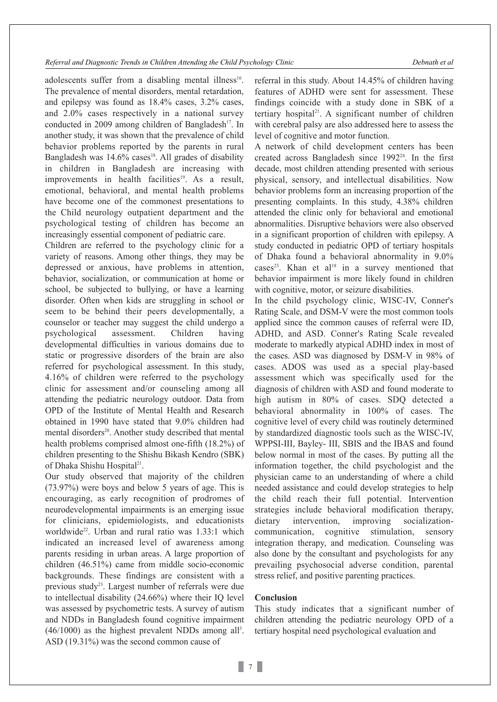*Referral and Diagnostic Trends in Children Attending the Child Psychology Clinic Debnath et al*

adolescents suffer from a disabling mental illness<sup>16</sup>. The prevalence of mental disorders, mental retardation, and epilepsy was found as 18.4% cases, 3.2% cases, and 2.0% cases respectively in a national survey conducted in 2009 among children of Bangladesh<sup>17</sup>. In another study, it was shown that the prevalence of child behavior problems reported by the parents in rural Bangladesh was 14.6% cases<sup>18</sup>. All grades of disability in children in Bangladesh are increasing with improvements in health facilities<sup>19</sup>. As a result, emotional, behavioral, and mental health problems have become one of the commonest presentations to the Child neurology outpatient department and the psychological testing of children has become an increasingly essential component of pediatric care.

Children are referred to the psychology clinic for a variety of reasons. Among other things, they may be depressed or anxious, have problems in attention, behavior, socialization, or communication at home or school, be subjected to bullying, or have a learning disorder. Often when kids are struggling in school or seem to be behind their peers developmentally, a counselor or teacher may suggest the child undergo a psychological assessment. Children having developmental difficulties in various domains due to static or progressive disorders of the brain are also referred for psychological assessment. In this study, 4.16% of children were referred to the psychology clinic for assessment and/or counseling among all attending the pediatric neurology outdoor. Data from OPD of the Institute of Mental Health and Research obtained in 1990 have stated that 9.0% children had mental disorders<sup>20</sup>. Another study described that mental health problems comprised almost one-fifth (18.2%) of children presenting to the Shishu Bikash Kendro (SBK) of Dhaka Shishu Hospital 21.

Our study observed that majority of the children (73.97%) were boys and below 5 years of age. This is encouraging, as early recognition of prodromes of neurodevelopmental impairments is an emerging issue for clinicians, epidemiologists, and educationists worldwide22. Urban and rural ratio was 1.33:1 which indicated an increased level of awareness among parents residing in urban areas. A large proportion of children (46.51%) came from middle socio-economic backgrounds. These findings are consistent with a previous study<sup>23</sup>. Largest number of referrals were due to intellectual disability (24.66%) where their IQ level was assessed by psychometric tests. A survey of autism and NDDs in Bangladesh found cognitive impairment  $(46/1000)$  as the highest prevalent NDDs among all<sup>3</sup>. ASD (19.31%) was the second common cause of

referral in this study. About 14.45% of children having features of ADHD were sent for assessment. These findings coincide with a study done in SBK of a tertiary hospital 21. A significant number of children with cerebral palsy are also addressed here to assess the level of cognitive and motor function.

A network of child development centers has been created across Bangladesh since 1992<sup>24</sup>. In the first decade, most children attending presented with serious physical, sensory, and intellectual disabilities. Now behavior problems form an increasing proportion of the presenting complaints. In this study, 4.38% children attended the clinic only for behavioral and emotional abnormalities. Disruptive behaviors were also observed in a significant proportion of children with epilepsy. A study conducted in pediatric OPD of tertiary hospitals of Dhaka found a behavioral abnormality in 9.0% cases<sup>23</sup>. Khan et al<sup>18</sup> in a survey mentioned that behavior impairment is more likely found in children with cognitive, motor, or seizure disabilities.

In the child psychology clinic, WISC-IV, Conner's Rating Scale, and DSM-V were the most common tools applied since the common causes of referral were ID, ADHD, and ASD. Conner's Rating Scale revealed moderate to markedly atypical ADHD index in most of the cases. ASD was diagnosed by DSM-V in 98% of cases. ADOS was used as a special play-based assessment which was specifically used for the diagnosis of children with ASD and found moderate to high autism in 80% of cases. SDQ detected a behavioral abnormality in 100% of cases. The cognitive level of every child was routinely determined by standardized diagnostic tools such as the WISC-IV, WPPSI-III, Bayley- III, SBIS and the IBAS and found below normal in most of the cases. By putting all the information together, the child psychologist and the physician came to an understanding of where a child needed assistance and could develop strategies to help the child reach their full potential. Intervention strategies include behavioral modification therapy, dietary intervention, improving socializationcommunication, cognitive stimulation, sensory integration therapy, and medication. Counseling was also done by the consultant and psychologists for any prevailing psychosocial adverse condition, parental stress relief, and positive parenting practices.

# **Conclusion**

This study indicates that a significant number of children attending the pediatric neurology OPD of a tertiary hospital need psychological evaluation and